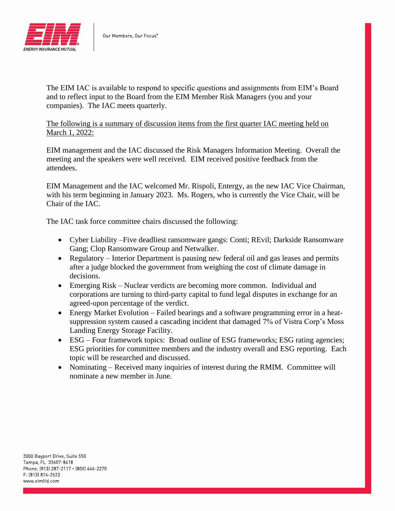

The EIM IAC is available to respond to specific questions and assignments from EIM's Board and to reflect input to the Board from the EIM Member Risk Managers (you and your companies). The IAC meets quarterly.

The following is a summary of discussion items from the first quarter IAC meeting held on March 1, 2022:

EIM management and the IAC discussed the Risk Managers Information Meeting. Overall the meeting and the speakers were well received. EIM received positive feedback from the attendees.

EIM Management and the IAC welcomed Mr. Rispoli, Entergy, as the new IAC Vice Chairman, with his term beginning in January 2023. Ms. Rogers, who is currently the Vice Chair, will be Chair of the IAC.

The IAC task force committee chairs discussed the following:

- Cyber Liability –Five deadliest ransomware gangs: Conti; REvil; Darkside Ransomware Gang; Clop Ransomware Group and Netwalker.
- Regulatory Interior Department is pausing new federal oil and gas leases and permits after a judge blocked the government from weighing the cost of climate damage in decisions.
- Emerging Risk Nuclear verdicts are becoming more common. Individual and corporations are turning to third-party capital to fund legal disputes in exchange for an agreed-upon percentage of the verdict.
- Energy Market Evolution Failed bearings and a software programming error in a heatsuppression system caused a cascading incident that damaged 7% of Vistra Corp's Moss Landing Energy Storage Facility.
- ESG Four framework topics: Broad outline of ESG frameworks; ESG rating agencies; ESG priorities for committee members and the industry overall and ESG reporting. Each topic will be researched and discussed.
- Nominating Received many inquiries of interest during the RMIM. Committee will nominate a new member in June.